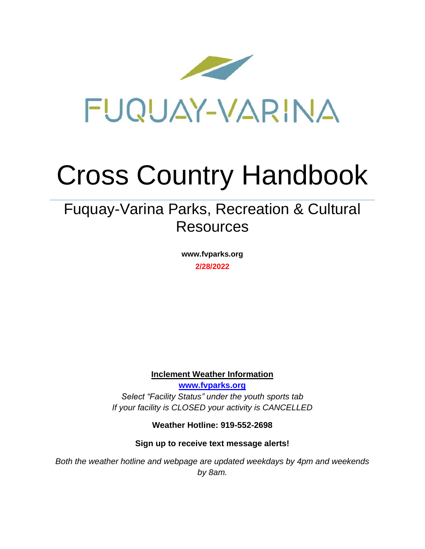

# Cross Country Handbook

# Fuquay-Varina Parks, Recreation & Cultural **Resources**

**www.fvparks.org 2/28/2022**

**Inclement Weather Information**

**[www.fvparks.org](http://www.fvparks.org/)** *Select "Facility Status" under the youth sports tab If your facility is CLOSED your activity is CANCELLED*

**Weather Hotline: 919-552-2698**

**Sign up to receive text message alerts!**

*Both the weather hotline and webpage are updated weekdays by 4pm and weekends by 8am.*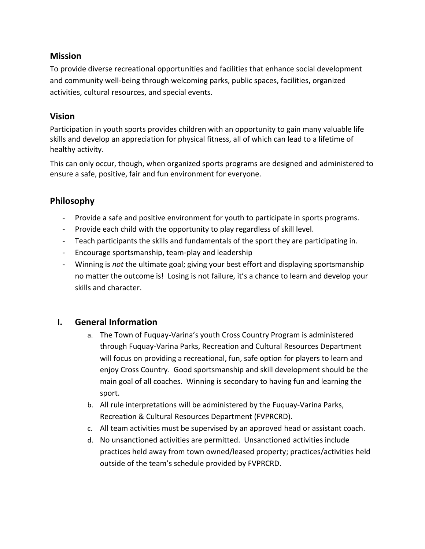# **Mission**

To provide diverse recreational opportunities and facilities that enhance social development and community well-being through welcoming parks, public spaces, facilities, organized activities, cultural resources, and special events.

# **Vision**

Participation in youth sports provides children with an opportunity to gain many valuable life skills and develop an appreciation for physical fitness, all of which can lead to a lifetime of healthy activity.

This can only occur, though, when organized sports programs are designed and administered to ensure a safe, positive, fair and fun environment for everyone.

# **Philosophy**

- Provide a safe and positive environment for youth to participate in sports programs.
- Provide each child with the opportunity to play regardless of skill level.
- Teach participants the skills and fundamentals of the sport they are participating in.
- Encourage sportsmanship, team-play and leadership
- Winning is *not* the ultimate goal; giving your best effort and displaying sportsmanship no matter the outcome is! Losing is not failure, it's a chance to learn and develop your skills and character.

# **I. General Information**

- a. The Town of Fuquay-Varina's youth Cross Country Program is administered through Fuquay-Varina Parks, Recreation and Cultural Resources Department will focus on providing a recreational, fun, safe option for players to learn and enjoy Cross Country. Good sportsmanship and skill development should be the main goal of all coaches. Winning is secondary to having fun and learning the sport.
- b. All rule interpretations will be administered by the Fuquay-Varina Parks, Recreation & Cultural Resources Department (FVPRCRD).
- c. All team activities must be supervised by an approved head or assistant coach.
- d. No unsanctioned activities are permitted. Unsanctioned activities include practices held away from town owned/leased property; practices/activities held outside of the team's schedule provided by FVPRCRD.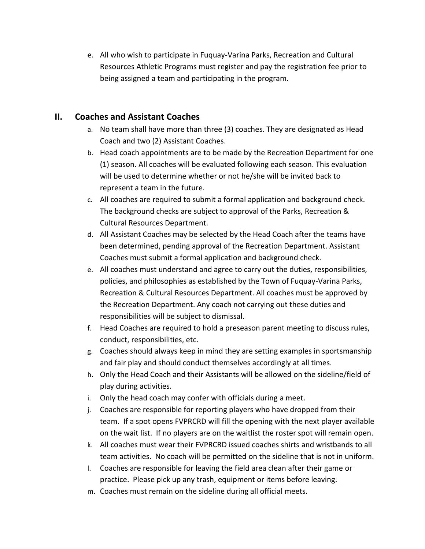e. All who wish to participate in Fuquay-Varina Parks, Recreation and Cultural Resources Athletic Programs must register and pay the registration fee prior to being assigned a team and participating in the program.

# **II. Coaches and Assistant Coaches**

- a. No team shall have more than three (3) coaches. They are designated as Head Coach and two (2) Assistant Coaches.
- b. Head coach appointments are to be made by the Recreation Department for one (1) season. All coaches will be evaluated following each season. This evaluation will be used to determine whether or not he/she will be invited back to represent a team in the future.
- c. All coaches are required to submit a formal application and background check. The background checks are subject to approval of the Parks, Recreation & Cultural Resources Department.
- d. All Assistant Coaches may be selected by the Head Coach after the teams have been determined, pending approval of the Recreation Department. Assistant Coaches must submit a formal application and background check.
- e. All coaches must understand and agree to carry out the duties, responsibilities, policies, and philosophies as established by the Town of Fuquay-Varina Parks, Recreation & Cultural Resources Department. All coaches must be approved by the Recreation Department. Any coach not carrying out these duties and responsibilities will be subject to dismissal.
- f. Head Coaches are required to hold a preseason parent meeting to discuss rules, conduct, responsibilities, etc.
- g. Coaches should always keep in mind they are setting examples in sportsmanship and fair play and should conduct themselves accordingly at all times.
- h. Only the Head Coach and their Assistants will be allowed on the sideline/field of play during activities.
- i. Only the head coach may confer with officials during a meet.
- j. Coaches are responsible for reporting players who have dropped from their team. If a spot opens FVPRCRD will fill the opening with the next player available on the wait list. If no players are on the waitlist the roster spot will remain open.
- k. All coaches must wear their FVPRCRD issued coaches shirts and wristbands to all team activities. No coach will be permitted on the sideline that is not in uniform.
- l. Coaches are responsible for leaving the field area clean after their game or practice. Please pick up any trash, equipment or items before leaving.
- m. Coaches must remain on the sideline during all official meets.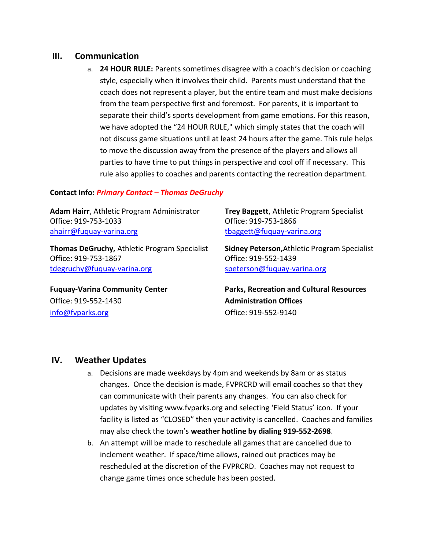#### **III. Communication**

a. **24 HOUR RULE:** Parents sometimes disagree with a coach's decision or coaching style, especially when it involves their child. Parents must understand that the coach does not represent a player, but the entire team and must make decisions from the team perspective first and foremost. For parents, it is important to separate their child's sports development from game emotions. For this reason, we have adopted the "24 HOUR RULE," which simply states that the coach will not discuss game situations until at least 24 hours after the game. This rule helps to move the discussion away from the presence of the players and allows all parties to have time to put things in perspective and cool off if necessary. This rule also applies to coaches and parents contacting the recreation department.

#### **Contact Info:** *Primary Contact – Thomas DeGruchy*

**Adam Hairr**, Athletic Program Administrator **Trey Baggett**, Athletic Program Specialist Office: 919-753-1033 Office: 919-753-1866 [ahairr@fuquay-varina.org](mailto:ahairr@fuquay-varina.org) that the understanding the set of the set of the set of the set of the set of the set o

**Thomas DeGruchy,** Athletic Program Specialist **Sidney Peterson,**Athletic Program Specialist Office: 919-753-1867 Office: 919-552-1439 [tdegruchy@fuquay-varina.org](mailto:tdegruchy@fuquay-varina.org) [speterson@fuquay-varina.org](mailto:speterson@fuquay-varina.org)

Office: 919-552-1430 **Administration Offices** [info@fvparks.org](mailto:info@fvparks.org) Office: 919-552-9140

**Fuquay-Varina Community Center Parks, Recreation and Cultural Resources**

#### **IV. Weather Updates**

- a. Decisions are made weekdays by 4pm and weekends by 8am or as status changes. Once the decision is made, FVPRCRD will email coaches so that they can communicate with their parents any changes. You can also check for updates by visiting www.fvparks.org and selecting 'Field Status' icon. If your facility is listed as "CLOSED" then your activity is cancelled. Coaches and families may also check the town's **weather hotline by dialing 919-552-2698**.
- b. An attempt will be made to reschedule all games that are cancelled due to inclement weather. If space/time allows, rained out practices may be rescheduled at the discretion of the FVPRCRD. Coaches may not request to change game times once schedule has been posted.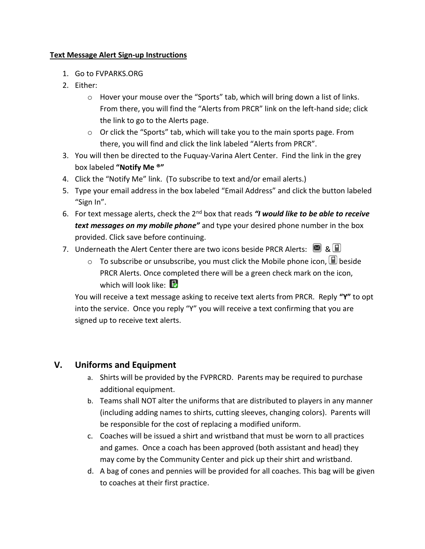#### **Text Message Alert Sign-up Instructions**

- 1. Go to FVPARKS.ORG
- 2. Either:
	- o Hover your mouse over the "Sports" tab, which will bring down a list of links. From there, you will find the "Alerts from PRCR" link on the left-hand side; click the link to go to the Alerts page.
	- o Or click the "Sports" tab, which will take you to the main sports page. From there, you will find and click the link labeled "Alerts from PRCR".
- 3. You will then be directed to the Fuquay-Varina Alert Center. Find the link in the grey box labeled **"Notify Me ®"**
- 4. Click the "Notify Me" link. (To subscribe to text and/or email alerts.)
- 5. Type your email address in the box labeled "Email Address" and click the button labeled "Sign In".
- 6. For text message alerts, check the 2nd box that reads *"I would like to be able to receive text messages on my mobile phone"* and type your desired phone number in the box provided. Click save before continuing.
- 7. Underneath the Alert Center there are two icons beside PRCR Alerts:  $\Box$  &  $\Box$ 
	- $\circ$  To subscribe or unsubscribe, you must click the Mobile phone icon,  $\Box$  beside PRCR Alerts. Once completed there will be a green check mark on the icon, which will look like:  $\mathbb{R}$

You will receive a text message asking to receive text alerts from PRCR. Reply **"Y"** to opt into the service. Once you reply "Y" you will receive a text confirming that you are signed up to receive text alerts.

# **V. Uniforms and Equipment**

- a. Shirts will be provided by the FVPRCRD. Parents may be required to purchase additional equipment.
- b. Teams shall NOT alter the uniforms that are distributed to players in any manner (including adding names to shirts, cutting sleeves, changing colors). Parents will be responsible for the cost of replacing a modified uniform.
- c. Coaches will be issued a shirt and wristband that must be worn to all practices and games. Once a coach has been approved (both assistant and head) they may come by the Community Center and pick up their shirt and wristband.
- d. A bag of cones and pennies will be provided for all coaches. This bag will be given to coaches at their first practice.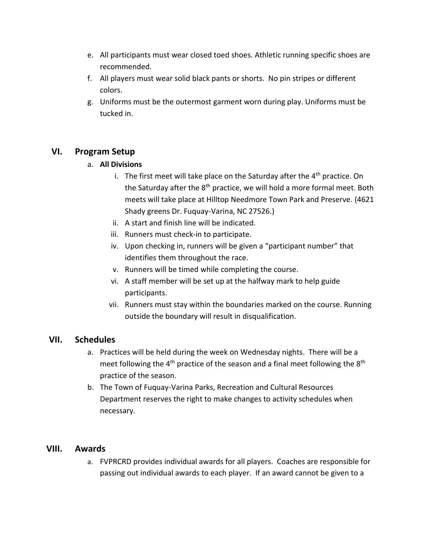- e. All participants must wear closed toed shoes. Athletic running specific shoes are recommended.
- f. All players must wear solid black pants or shorts. No pin stripes or different colors.
- g. Uniforms must be the outermost garment worn during play. Uniforms must be tucked in.

# **VI. Program Setup**

# a. **All Divisions**

- i. The first meet will take place on the Saturday after the  $4<sup>th</sup>$  practice. On the Saturday after the  $8<sup>th</sup>$  practice, we will hold a more formal meet. Both meets will take place at Hilltop Needmore Town Park and Preserve. (4621 Shady greens Dr. Fuquay-Varina, NC 27526.)
- ii. A start and finish line will be indicated.
- iii. Runners must check-in to participate.
- iv. Upon checking in, runners will be given a "participant number" that identifies them throughout the race.
- v. Runners will be timed while completing the course.
- vi. A staff member will be set up at the halfway mark to help guide participants.
- vii. Runners must stay within the boundaries marked on the course. Running outside the boundary will result in disqualification.

# **VII. Schedules**

- a. Practices will be held during the week on Wednesday nights. There will be a meet following the 4<sup>th</sup> practice of the season and a final meet following the 8<sup>th</sup> practice of the season.
- b. The Town of Fuquay-Varina Parks, Recreation and Cultural Resources Department reserves the right to make changes to activity schedules when necessary.

# **VIII. Awards**

a. FVPRCRD provides individual awards for all players. Coaches are responsible for passing out individual awards to each player. If an award cannot be given to a